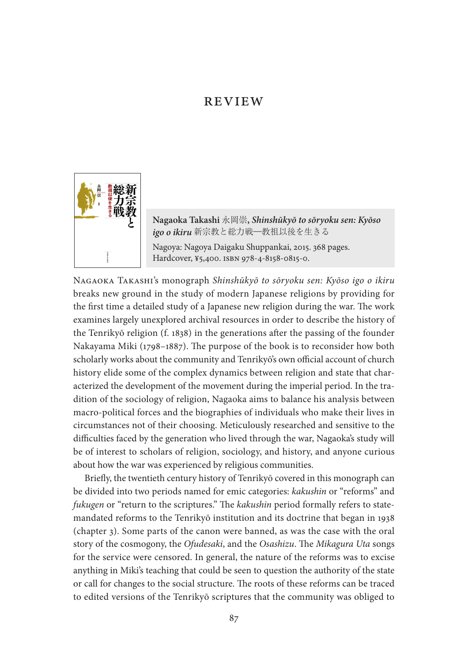## **REVIEW**



**Nagaoka Takashi** 永岡崇**,** *Shinshūkyō to sōryoku sen: Kyōso igo o ikiru* 新宗教と総力戦―教祖以後を生きる Nagoya: Nagoya Daigaku Shuppankai, 2015. 368 pages. Hardcover, ¥5,400. isbn 978-4-8158-0815-0.

Nagaoka Takashi's monograph *Shinshūkyō to sōryoku sen: Kyōso igo o ikiru* breaks new ground in the study of modern Japanese religions by providing for the first time a detailed study of a Japanese new religion during the war. The work examines largely unexplored archival resources in order to describe the history of the Tenrikyō religion (f. 1838) in the generations after the passing of the founder Nakayama Miki (1798–1887). The purpose of the book is to reconsider how both scholarly works about the community and Tenrikyō's own official account of church history elide some of the complex dynamics between religion and state that characterized the development of the movement during the imperial period. In the tradition of the sociology of religion, Nagaoka aims to balance his analysis between macro-political forces and the biographies of individuals who make their lives in circumstances not of their choosing. Meticulously researched and sensitive to the difficulties faced by the generation who lived through the war, Nagaoka's study will be of interest to scholars of religion, sociology, and history, and anyone curious about how the war was experienced by religious communities.

Briefly, the twentieth century history of Tenrikyō covered in this monograph can be divided into two periods named for emic categories: *kakushin* or "reforms" and *fukugen* or "return to the scriptures." The *kakushin* period formally refers to statemandated reforms to the Tenrikyō institution and its doctrine that began in 1938 (chapter 3). Some parts of the canon were banned, as was the case with the oral story of the cosmogony, the *Ofudesaki*, and the *Osashizu*. The *Mikagura Uta* songs for the service were censored. In general, the nature of the reforms was to excise anything in Miki's teaching that could be seen to question the authority of the state or call for changes to the social structure. The roots of these reforms can be traced to edited versions of the Tenrikyō scriptures that the community was obliged to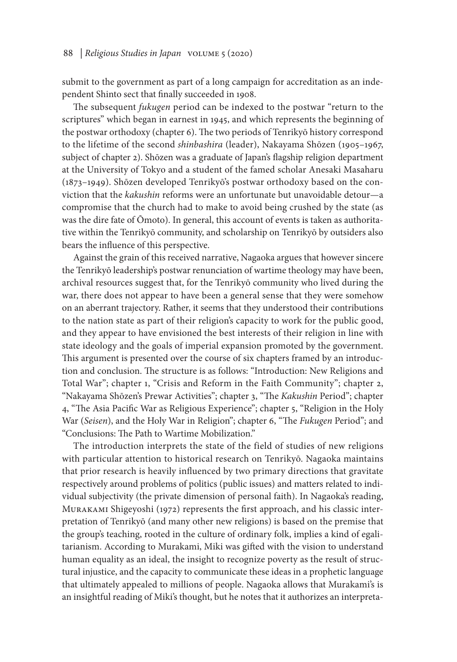## 88 | *Religious Studies in Japan* volume 5 (2020)

submit to the government as part of a long campaign for accreditation as an independent Shinto sect that finally succeeded in 1908.

The subsequent *fukugen* period can be indexed to the postwar "return to the scriptures" which began in earnest in 1945, and which represents the beginning of the postwar orthodoxy (chapter 6). The two periods of Tenrikyō history correspond to the lifetime of the second *shinbashira* (leader), Nakayama Shōzen (1905–1967, subject of chapter 2). Shōzen was a graduate of Japan's flagship religion department at the University of Tokyo and a student of the famed scholar Anesaki Masaharu (1873–1949). Shōzen developed Tenrikyō's postwar orthodoxy based on the conviction that the *kakushin* reforms were an unfortunate but unavoidable detour—a compromise that the church had to make to avoid being crushed by the state (as was the dire fate of Ōmoto). In general, this account of events is taken as authoritative within the Tenrikyō community, and scholarship on Tenrikyō by outsiders also bears the influence of this perspective.

Against the grain of this received narrative, Nagaoka argues that however sincere the Tenrikyō leadership's postwar renunciation of wartime theology may have been, archival resources suggest that, for the Tenrikyō community who lived during the war, there does not appear to have been a general sense that they were somehow on an aberrant trajectory. Rather, it seems that they understood their contributions to the nation state as part of their religion's capacity to work for the public good, and they appear to have envisioned the best interests of their religion in line with state ideology and the goals of imperial expansion promoted by the government. This argument is presented over the course of six chapters framed by an introduction and conclusion. The structure is as follows: "Introduction: New Religions and Total War"; chapter 1, "Crisis and Reform in the Faith Community"; chapter 2, "Nakayama Shōzen's Prewar Activities"; chapter 3, "The *Kakushin* Period"; chapter 4, "The Asia Pacific War as Religious Experience"; chapter 5, "Religion in the Holy War (*Seisen*), and the Holy War in Religion"; chapter 6, "The *Fukugen* Period"; and "Conclusions: The Path to Wartime Mobilization."

The introduction interprets the state of the field of studies of new religions with particular attention to historical research on Tenrikyō. Nagaoka maintains that prior research is heavily influenced by two primary directions that gravitate respectively around problems of politics (public issues) and matters related to individual subjectivity (the private dimension of personal faith). In Nagaoka's reading, Murakami Shigeyoshi (1972) represents the first approach, and his classic interpretation of Tenrikyō (and many other new religions) is based on the premise that the group's teaching, rooted in the culture of ordinary folk, implies a kind of egalitarianism. According to Murakami, Miki was gifted with the vision to understand human equality as an ideal, the insight to recognize poverty as the result of structural injustice, and the capacity to communicate these ideas in a prophetic language that ultimately appealed to millions of people. Nagaoka allows that Murakami's is an insightful reading of Miki's thought, but he notes that it authorizes an interpreta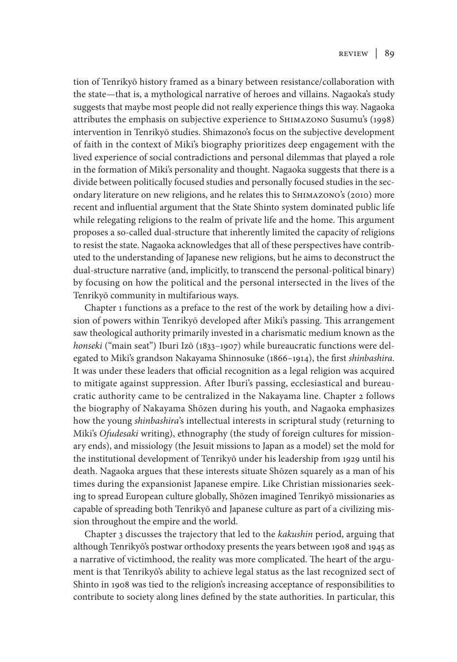tion of Tenrikyō history framed as a binary between resistance/collaboration with the state—that is, a mythological narrative of heroes and villains. Nagaoka's study suggests that maybe most people did not really experience things this way. Nagaoka attributes the emphasis on subjective experience to Shimazono Susumu's (1998) intervention in Tenrikyō studies. Shimazono's focus on the subjective development of faith in the context of Miki's biography prioritizes deep engagement with the lived experience of social contradictions and personal dilemmas that played a role in the formation of Miki's personality and thought. Nagaoka suggests that there is a divide between politically focused studies and personally focused studies in the secondary literature on new religions, and he relates this to Shimazono's (2010) more recent and influential argument that the State Shinto system dominated public life while relegating religions to the realm of private life and the home. This argument proposes a so-called dual-structure that inherently limited the capacity of religions to resist the state. Nagaoka acknowledges that all of these perspectives have contributed to the understanding of Japanese new religions, but he aims to deconstruct the dual-structure narrative (and, implicitly, to transcend the personal-political binary) by focusing on how the political and the personal intersected in the lives of the Tenrikyō community in multifarious ways.

Chapter 1 functions as a preface to the rest of the work by detailing how a division of powers within Tenrikyō developed after Miki's passing. This arrangement saw theological authority primarily invested in a charismatic medium known as the *honseki* ("main seat") Iburi Izō (1833–1907) while bureaucratic functions were delegated to Miki's grandson Nakayama Shinnosuke (1866–1914), the first *shinbashira*. It was under these leaders that official recognition as a legal religion was acquired to mitigate against suppression. After Iburi's passing, ecclesiastical and bureaucratic authority came to be centralized in the Nakayama line. Chapter 2 follows the biography of Nakayama Shōzen during his youth, and Nagaoka emphasizes how the young *shinbashira*'s intellectual interests in scriptural study (returning to Miki's *Ofudesaki* writing), ethnography (the study of foreign cultures for missionary ends), and missiology (the Jesuit missions to Japan as a model) set the mold for the institutional development of Tenrikyō under his leadership from 1929 until his death. Nagaoka argues that these interests situate Shōzen squarely as a man of his times during the expansionist Japanese empire. Like Christian missionaries seeking to spread European culture globally, Shōzen imagined Tenrikyō missionaries as capable of spreading both Tenrikyō and Japanese culture as part of a civilizing mission throughout the empire and the world.

Chapter 3 discusses the trajectory that led to the *kakushin* period, arguing that although Tenrikyō's postwar orthodoxy presents the years between 1908 and 1945 as a narrative of victimhood, the reality was more complicated. The heart of the argument is that Tenrikyō's ability to achieve legal status as the last recognized sect of Shinto in 1908 was tied to the religion's increasing acceptance of responsibilities to contribute to society along lines defined by the state authorities. In particular, this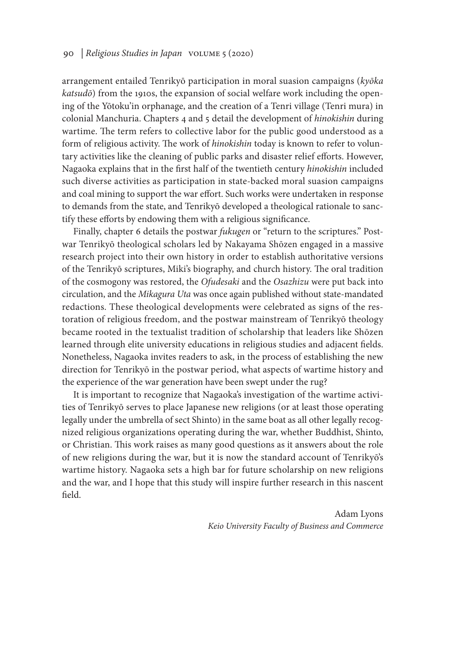## 90 | *Religious Studies in Japan* volume 5 (2020)

arrangement entailed Tenrikyō participation in moral suasion campaigns (*kyōka katsudō*) from the 1910s, the expansion of social welfare work including the opening of the Yōtoku'in orphanage, and the creation of a Tenri village (Tenri mura) in colonial Manchuria. Chapters 4 and 5 detail the development of *hinokishin* during wartime. The term refers to collective labor for the public good understood as a form of religious activity. The work of *hinokishin* today is known to refer to voluntary activities like the cleaning of public parks and disaster relief efforts. However, Nagaoka explains that in the first half of the twentieth century *hinokishin* included such diverse activities as participation in state-backed moral suasion campaigns and coal mining to support the war effort. Such works were undertaken in response to demands from the state, and Tenrikyō developed a theological rationale to sanctify these efforts by endowing them with a religious significance.

Finally, chapter 6 details the postwar *fukugen* or "return to the scriptures." Postwar Tenrikyō theological scholars led by Nakayama Shōzen engaged in a massive research project into their own history in order to establish authoritative versions of the Tenrikyō scriptures, Miki's biography, and church history. The oral tradition of the cosmogony was restored, the *Ofudesaki* and the *Osazhizu* were put back into circulation, and the *Mikagura Uta* was once again published without state-mandated redactions. These theological developments were celebrated as signs of the restoration of religious freedom, and the postwar mainstream of Tenrikyō theology became rooted in the textualist tradition of scholarship that leaders like Shōzen learned through elite university educations in religious studies and adjacent fields. Nonetheless, Nagaoka invites readers to ask, in the process of establishing the new direction for Tenrikyō in the postwar period, what aspects of wartime history and the experience of the war generation have been swept under the rug?

It is important to recognize that Nagaoka's investigation of the wartime activities of Tenrikyō serves to place Japanese new religions (or at least those operating legally under the umbrella of sect Shinto) in the same boat as all other legally recognized religious organizations operating during the war, whether Buddhist, Shinto, or Christian. This work raises as many good questions as it answers about the role of new religions during the war, but it is now the standard account of Tenrikyō's wartime history. Nagaoka sets a high bar for future scholarship on new religions and the war, and I hope that this study will inspire further research in this nascent field.

> Adam Lyons *Keio University Faculty of Business and Commerce*